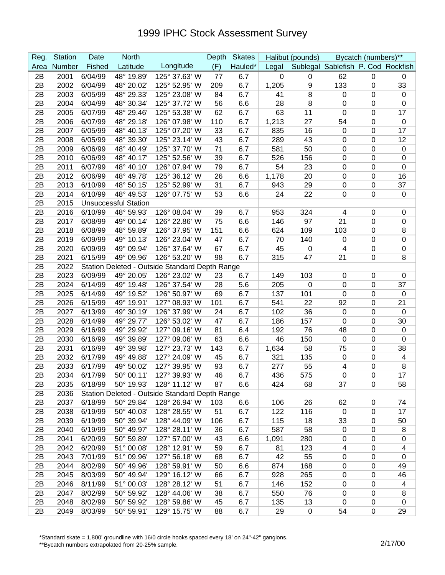| Reg. | <b>Station</b> | Date          | <b>North</b>                |                                                | Depth | <b>Skates</b> |       | Halibut (pounds) |                                    | Bycatch (numbers)** |                  |
|------|----------------|---------------|-----------------------------|------------------------------------------------|-------|---------------|-------|------------------|------------------------------------|---------------------|------------------|
| Area | Number         | <b>Fished</b> | Latitude                    | Longitude                                      | (F)   | Hauled*       | Legal |                  | Sublegal Sablefish P. Cod Rockfish |                     |                  |
| 2B   | 2001           | 6/04/99       | 48° 19.89'                  | 125° 37.63' W                                  | 77    | 6.7           | 0     | 0                | 62                                 | $\mathbf 0$         | 0                |
| 2B   | 2002           | 6/04/99       | 48° 20.02'                  | 125° 52.95' W                                  | 209   | 6.7           | 1,205 | 9                | 133                                | $\mathbf 0$         | 33               |
| 2B   | 2003           | 6/05/99       | 48° 29.33'                  | 125° 23.08' W                                  | 84    | 6.7           | 41    | 8                | 0                                  | 0                   | $\mathbf 0$      |
| 2B   | 2004           | 6/04/99       | 48° 30.34'                  | 125° 37.72' W                                  | 56    | 6.6           | 28    | 8                | $\mathbf 0$                        | 0                   | $\boldsymbol{0}$ |
| 2B   | 2005           | 6/07/99       | 48° 29.46'                  | 125° 53.38' W                                  | 62    | 6.7           | 63    | 11               | $\mathbf 0$                        | 0                   | 17               |
| 2B   | 2006           | 6/07/99       | 48° 29.18'                  | 126° 07.98' W                                  | 110   | 6.7           | 1,213 | 27               | 54                                 | $\mathbf 0$         | $\mathbf 0$      |
| 2B   | 2007           | 6/05/99       | 48° 40.13'                  | 125° 07.20' W                                  | 33    | 6.7           | 835   | 16               | 0                                  | 0                   | 17               |
| 2B   | 2008           | 6/05/99       | 48° 39.30'                  | 125° 23.14' W                                  | 43    | 6.7           | 289   | 43               | 0                                  | 0                   | 12               |
| 2B   | 2009           | 6/06/99       | 48° 40.49'                  | 125° 37.70' W                                  | 71    | 6.7           | 581   | 50               | 0                                  | $\mathbf 0$         | $\mathbf 0$      |
| 2B   | 2010           | 6/06/99       | 48° 40.17'                  | 125° 52.56' W                                  | 39    | 6.7           | 526   | 156              | $\mathbf 0$                        | 0                   | $\mathbf 0$      |
| 2B   | 2011           | 6/07/99       | 48° 40.10'                  | 126° 07.94' W                                  | 79    | 6.7           | 54    | 23               | $\pmb{0}$                          | 0                   | $\boldsymbol{0}$ |
| 2B   | 2012           | 6/06/99       | 48° 49.78'                  | 125° 36.12' W                                  | 26    | 6.6           | 1,178 | 20               | $\mathbf 0$                        | 0                   | 16               |
| 2B   | 2013           | 6/10/99       | 48° 50.15'                  | 125° 52.99' W                                  | 31    | 6.7           | 943   | 29               | $\pmb{0}$                          | 0                   | 37               |
| 2B   | 2014           | 6/10/99       | 48° 49.53'                  | 126° 07.75' W                                  | 53    | 6.6           | 24    | 22               | $\mathbf 0$                        | 0                   | $\boldsymbol{0}$ |
| 2B   | 2015           |               | <b>Unsuccessful Station</b> |                                                |       |               |       |                  |                                    |                     |                  |
| 2B   | 2016           | 6/10/99       | 48° 59.93'                  | 126° 08.04' W                                  | 39    | 6.7           | 953   | 324              | 4                                  | $\mathbf 0$         | $\mathbf 0$      |
| 2B   | 2017           | 6/08/99       | 49° 00.14'                  | 126° 22.86' W                                  | 75    | 6.6           | 146   | 97               | 21                                 | $\mathbf 0$         | $\mathbf 0$      |
| 2B   | 2018           | 6/08/99       | 48° 59.89'                  | 126° 37.95' W                                  | 151   | 6.6           | 624   | 109              | 103                                | $\mathbf 0$         | 8                |
| 2B   | 2019           | 6/09/99       | 49° 10.13'                  | 126° 23.04' W                                  | 47    | 6.7           | 70    | 140              | 0                                  | $\mathbf 0$         | $\boldsymbol{0}$ |
| 2B   | 2020           | 6/09/99       | 49° 09.94'                  | 126° 37.64' W                                  | 67    | 6.7           | 45    | $\pmb{0}$        | 4                                  | $\mathbf 0$         | $\boldsymbol{0}$ |
| 2B   | 2021           | 6/15/99       | 49° 09.96'                  | 126° 53.20' W                                  | 98    | 6.7           | 315   | 47               | 21                                 | $\mathbf 0$         | 8                |
| 2B   | 2022           |               |                             | Station Deleted - Outside Standard Depth Range |       |               |       |                  |                                    |                     |                  |
| 2B   | 2023           | 6/09/99       | 49° 20.05'                  | 126° 23.02' W                                  | 23    | 6.7           | 149   | 103              | 0                                  | 0                   | $\mathbf 0$      |
| 2B   | 2024           | 6/14/99       | 49° 19.48'                  | 126° 37.54' W                                  | 28    | 5.6           | 205   | $\pmb{0}$        | $\mathbf 0$                        | 0                   | 37               |
| 2B   | 2025           | 6/14/99       | 49° 19.52'                  | 126° 50.97' W                                  | 69    | 6.7           | 137   | 101              | $\mathbf 0$                        | 0                   | $\boldsymbol{0}$ |
| 2B   | 2026           | 6/15/99       | 49° 19.91'                  | 127° 08.93' W                                  | 101   | 6.7           | 541   | 22               | 92                                 | 0                   | 21               |
| 2B   | 2027           | 6/13/99       | 49° 30.19'                  | 126° 37.99' W                                  | 24    | 6.7           | 102   | 36               | $\mathbf 0$                        | 0                   | $\boldsymbol{0}$ |
| 2B   | 2028           | 6/14/99       | 49° 29.77'                  | 126° 53.02' W                                  | 47    | 6.7           | 186   | 157              | 0                                  | 0                   | 30               |
| 2B   | 2029           | 6/16/99       | 49° 29.92'                  | 127° 09.16' W                                  | 81    | 6.4           | 192   | 76               | 48                                 | 0                   | $\mathbf 0$      |
| 2B   | 2030           | 6/16/99       | 49° 39.89'                  | 127° 09.06' W                                  | 63    | 6.6           | 46    | 150              | $\boldsymbol{0}$                   | 0                   | $\boldsymbol{0}$ |
| 2B   | 2031           | 6/16/99       | 49° 39.98'                  | 127° 23.73' W                                  | 143   | 6.7           | 1,634 | 58               | 75                                 | 0                   | 38               |
| 2B   | 2032           | 6/17/99       | 49° 49.88'                  | 127° 24.09' W                                  | 45    | 6.7           | 321   | 135              | $\mathbf 0$                        | 0                   | 4                |
| 2B   | 2033           | 6/17/99       | 49° 50.02'                  | 127° 39.95' W                                  | 93    | 6.7           | 277   | 55               | 4                                  | 0                   | 8                |
| 2B   | 2034           | 6/17/99       | 50° 00.11'                  | 127° 39.93' W                                  | 46    | 6.7           | 436   | 575              | $\Omega$                           | $\mathbf 0$         | 17               |
| 2B   | 2035           | 6/18/99       | 50° 19.93'                  | 128° 11.12' W                                  | 87    | 6.6           | 424   | 68               | 37                                 | 0                   | 58               |
| 2B   | 2036           |               |                             | Station Deleted - Outside Standard Depth Range |       |               |       |                  |                                    |                     |                  |
| 2B   | 2037           | 6/18/99       | 50° 29.84'                  | 128° 26.94' W                                  | 103   | 6.6           | 106   | 26               | 62                                 | $\mathbf 0$         | 74               |
| 2B   | 2038           | 6/19/99       | 50° 40.03'                  | 128° 28.55' W                                  | 51    | 6.7           | 122   | 116              | $\mathbf 0$                        | $\mathbf 0$         | 17               |
| 2B   | 2039           | 6/19/99       | 50° 39.94'                  | 128° 44.09' W                                  | 106   | 6.7           | 115   | 18               | 33                                 | $\mathbf 0$         | 50               |
| 2B   | 2040           | 6/19/99       | 50° 49.97'                  | 128° 28.11' W                                  | 36    | 6.7           | 587   | 58               | $\mathbf 0$                        | $\pmb{0}$           | 8                |
| 2B   | 2041           | 6/20/99       | 50° 59.89'                  | 127° 57.00' W                                  | 43    | 6.6           | 1,091 | 280              | 0                                  | $\pmb{0}$           | $\pmb{0}$        |
| 2B   | 2042           | 6/20/99       | 51° 00.08'                  | 128° 12.91' W                                  | 59    | 6.7           | 81    | 123              | $\overline{4}$                     | $\pmb{0}$           | 4                |
| 2B   | 2043           | 7/01/99       | 51° 09.96'                  | 127° 56.18' W                                  | 68    | 6.7           | 42    | 55               | $\pmb{0}$                          | $\pmb{0}$           | $\mathbf 0$      |
| 2B   | 2044           | 8/02/99       | 50° 49.96'                  | 128° 59.91' W                                  | 50    | 6.6           | 874   | 168              | $\mathbf 0$                        | $\mathbf 0$         | 49               |
| 2B   | 2045           | 8/03/99       | 50° 49.94'                  | 129° 16.12' W                                  | 66    | 6.7           | 928   | 265              | $\pmb{0}$                          | 0                   | 46               |
| 2B   | 2046           | 8/11/99       | 51° 00.03'                  | 128° 28.12' W                                  | 51    | 6.7           | 146   | 152              | $\pmb{0}$                          | 0                   | 4                |
| 2B   | 2047           | 8/02/99       | 50° 59.92'                  | 128° 44.06' W                                  | 38    | 6.7           | 550   | 76               | $\mathbf 0$                        | 0                   | 8                |
| 2B   | 2048           | 8/02/99       | 50° 59.92'                  | 128° 59.86' W                                  | 45    | 6.7           | 135   | 13               | $\mathbf 0$                        | $\mathbf 0$         | $\mathbf 0$      |
| 2B   | 2049           | 8/03/99       | 50° 59.91'                  | 129° 15.75' W                                  | 88    | 6.7           | 29    | $\pmb{0}$        | 54                                 | $\pmb{0}$           | 29               |

\*Standard skate = 1,800' groundline with 16/0 circle hooks spaced every 18' on 24"-42" gangions.

\*\*Bycatch numbers extrapolated from 20-25% sample.<br>\*\*Bycatch numbers extrapolated from 20-25% sample.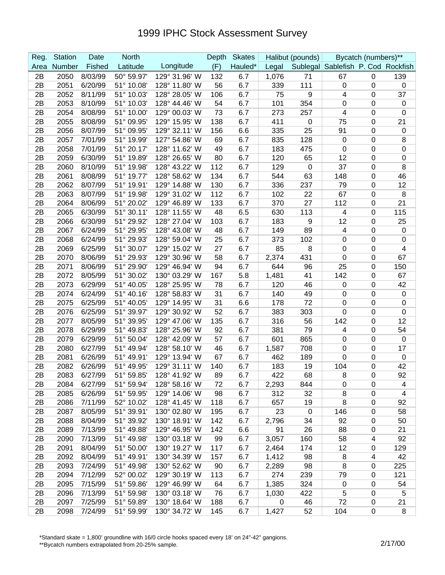| Reg. | <b>Station</b> | Date    | <b>North</b> |               | Depth | <b>Skates</b> |             | Halibut (pounds) |                                    | Bycatch (numbers)** |                  |
|------|----------------|---------|--------------|---------------|-------|---------------|-------------|------------------|------------------------------------|---------------------|------------------|
| Area | Number         | Fished  | Latitude     | Longitude     | (F)   | Hauled*       | Legal       |                  | Sublegal Sablefish P. Cod Rockfish |                     |                  |
| 2B   | 2050           | 8/03/99 | 50° 59.97'   | 129° 31.96' W | 132   | 6.7           | 1,076       | 71               | 67                                 | $\mathbf 0$         | 139              |
| 2B   | 2051           | 6/20/99 | 51° 10.08'   | 128° 11.80' W | 56    | 6.7           | 339         | 111              | 0                                  | 0                   | $\mathbf 0$      |
| 2B   | 2052           | 8/11/99 | 51° 10.03'   | 128° 28.05' W | 106   | 6.7           | 75          | 9                | 4                                  | 0                   | 37               |
| 2B   | 2053           | 8/10/99 | 51° 10.03'   | 128° 44.46' W | 54    | 6.7           | 101         | 354              | 0                                  | 0                   | $\mathbf 0$      |
| 2B   | 2054           | 8/08/99 | 51° 10.00'   | 129° 00.03' W | 73    | 6.7           | 273         | 257              | 4                                  | 0                   | $\boldsymbol{0}$ |
| 2B   | 2055           | 8/08/99 | 51° 09.95'   | 129° 15.95' W | 138   | 6.7           | 411         | 0                | 75                                 | 0                   | 21               |
| 2B   | 2056           | 8/07/99 | 51° 09.95'   | 129° 32.11' W | 156   | 6.6           | 335         | 25               | 91                                 | 0                   | $\pmb{0}$        |
| 2B   | 2057           | 7/01/99 | 51° 19.99'   | 127° 54.86' W | 69    | 6.7           | 835         | 128              | $\mathbf 0$                        | 0                   | 8                |
| 2B   | 2058           | 7/01/99 | 51° 20.17'   | 128° 11.62' W | 49    | 6.7           | 183         | 475              | 0                                  | 0                   | $\mathbf 0$      |
| 2B   | 2059           | 6/30/99 | 51° 19.89'   | 128° 26.65' W | 80    | 6.7           | 120         | 65               | 12                                 | 0                   | $\boldsymbol{0}$ |
| 2B   | 2060           | 8/10/99 | 51° 19.98'   | 128° 43.22' W | 112   | 6.7           | 129         | 0                | 37                                 | 0                   | 8                |
| 2B   | 2061           | 8/08/99 | 51° 19.77'   | 128° 58.62' W | 134   | 6.7           | 544         | 63               | 148                                | 0                   | 46               |
| 2B   | 2062           | 8/07/99 | 51° 19.91'   | 129° 14.88' W | 130   | 6.7           | 336         | 237              | 79                                 | 0                   | 12               |
| 2B   | 2063           | 8/07/99 | 51° 19.98'   | 129° 31.02' W | 112   | 6.7           | 102         | 22               | 67                                 | 0                   | 8                |
| 2B   | 2064           | 8/06/99 | 51° 20.02'   | 129° 46.89' W | 133   | 6.7           | 370         | 27               | 112                                | 0                   | 21               |
| 2B   | 2065           | 6/30/99 | 51° 30.11'   | 128° 11.55' W | 48    | 6.5           | 630         | 113              | 4                                  | 0                   | 115              |
| 2B   | 2066           | 6/30/99 | 51° 29.92'   | 128° 27.04' W | 103   | 6.7           | 183         | 9                | 12                                 | 0                   | 25               |
| 2B   | 2067           | 6/24/99 | 51° 29.95'   | 128° 43.08' W | 48    | 6.7           | 149         | 89               | 4                                  | 0                   | $\boldsymbol{0}$ |
| 2B   | 2068           | 6/24/99 | 51° 29.93'   | 128° 59.04' W | 25    | 6.7           | 373         | 102              | 0                                  | 0                   | $\mathbf 0$      |
| 2B   | 2069           | 6/25/99 | 51° 30.07'   | 129° 15.02' W | 27    | 6.7           | 85          | 8                | 0                                  | 0                   | 4                |
| 2B   | 2070           | 8/06/99 | 51° 29.93'   | 129° 30.96' W | 58    | 6.7           | 2,374       | 431              | 0                                  | 0                   | 67               |
| 2B   | 2071           | 8/06/99 | 51° 29.90'   | 129° 46.94' W | 94    | 6.7           | 644         | 96               | 25                                 | 0                   | 150              |
| 2B   | 2072           | 8/05/99 | 51° 30.02'   | 130° 03.29' W | 167   | 5.8           | 1,481       | 41               | 142                                | 0                   | 67               |
| 2B   | 2073           | 6/29/99 | 51° 40.05'   | 128° 25.95' W | 78    | 6.7           | 120         | 46               | 0                                  | 0                   | 42               |
| 2B   | 2074           | 6/24/99 | 51° 40.16'   | 128° 58.83' W | 31    | 6.7           | 140         | 49               | 0                                  | 0                   | $\mathbf 0$      |
| 2B   | 2075           | 6/25/99 | 51° 40.05'   | 129° 14.95' W | 31    | 6.6           | 178         | 72               | 0                                  | 0                   | $\boldsymbol{0}$ |
| 2B   | 2076           | 6/25/99 | 51° 39.97'   | 129° 30.92' W | 52    | 6.7           | 383         | 303              | 0                                  | 0                   | $\boldsymbol{0}$ |
| 2B   | 2077           | 8/05/99 | 51° 39.95'   | 129° 47.06' W | 135   | 6.7           | 316         | 56               | 142                                | 0                   | 12               |
| 2B   | 2078           | 6/29/99 | 51° 49.83'   | 128° 25.96' W | 92    | 6.7           | 381         | 79               | 4                                  | 0                   | 54               |
| 2B   | 2079           | 6/29/99 | 51° 50.04'   | 128° 42.09' W | 57    | 6.7           | 601         | 865              | 0                                  | 0                   | $\boldsymbol{0}$ |
| 2B   | 2080           | 6/27/99 | 51° 49.94'   | 128° 58.10' W | 46    | 6.7           | 1,587       | 708              | 0                                  | 0                   | 17               |
| 2B   | 2081           | 6/26/99 | 51° 49.91'   | 129° 13.94' W | 67    | 6.7           | 462         | 189              | 0                                  | 0                   | $\pmb{0}$        |
| 2B   | 2082           | 6/26/99 | 51° 49.95'   | 129° 31.11' W | 140   | 6.7           | 183         | 19               | 104                                | 0                   | 42               |
| 2B   | 2083           | 6/27/99 | 51° 59.85'   | 128° 41.92' W | 89    | 6.7           | 422         | 68               | 8                                  | $\Omega$            | 92               |
| 2B   | 2084           | 6/27/99 | 51° 59.94'   | 128° 58.16' W | 72    | 6.7           | 2,293       | 844              | $\mathbf 0$                        | 0                   | 4                |
| 2B   | 2085           | 6/26/99 | 51° 59.95'   | 129° 14.06' W | 98    | 6.7           | 312         | 32               | 8                                  | 0                   | 4                |
| 2B   | 2086           | 7/11/99 | 52° 10.02'   | 128° 41.45' W | 118   | 6.7           | 657         | 19               | 8                                  | 0                   | 92               |
| 2B   | 2087           | 8/05/99 | 51° 39.91'   | 130° 02.80' W | 195   | 6.7           | 23          | $\pmb{0}$        | 146                                | 0                   | 58               |
| 2B   | 2088           | 8/04/99 | 51° 39.92'   | 130° 18.91' W | 142   | 6.7           | 2,796       | 34               | 92                                 | 0                   | 50               |
| 2B   | 2089           | 7/13/99 | 51° 49.88'   | 129° 46.95' W | 142   | 6.6           | 91          | 26               | 88                                 | 0                   | 21               |
| 2B   | 2090           | 7/13/99 | 51° 49.98'   | 130° 03.18' W | 99    | 6.7           | 3,057       | 160              | 58                                 | 4                   | 92               |
| 2B   | 2091           | 8/04/99 | 51° 50.00'   | 130° 19.27' W | 117   | 6.7           | 2,464       | 174              | 12                                 | 0                   | 129              |
| 2B   | 2092           | 8/04/99 | 51° 49.91'   | 130° 34.39' W | 157   | 6.7           | 1,412       | 98               | 8                                  | 4                   | 42               |
| 2B   | 2093           | 7/24/99 | 51° 49.98'   | 130° 52.62' W | 90    | 6.7           | 2,289       | 98               | 8                                  | 0                   | 225              |
| 2B   | 2094           | 7/12/99 | 52° 00.02'   | 129° 30.19' W | 113   | 6.7           | 274         | 239              | 79                                 | 0                   | 121              |
| 2B   | 2095           | 7/15/99 | 51° 59.86'   | 129° 46.99' W | 64    | 6.7           | 1,385       | 324              | $\overline{0}$                     | 0                   | 54               |
| 2B   | 2096           | 7/13/99 | 51° 59.98'   | 130° 03.18' W | 76    | 6.7           | 1,030       | 422              | 5                                  | 0                   | 5                |
| 2B   | 2097           | 7/25/99 | 51° 59.89'   | 130° 18.64' W | 188   | 6.7           | $\mathbf 0$ | 46               | 72                                 | 0                   | 21               |
| 2B   | 2098           | 7/24/99 | 51° 59.99'   | 130° 34.72' W | 145   | 6.7           | 1,427       | 52               | 104                                | $\pmb{0}$           | $\, 8$           |

\*Standard skate = 1,800' groundline with 16/0 circle hooks spaced every 18' on 24"-42" gangions.

\*\*Bycatch numbers extrapolated from 20-25% sample.<br>\*\*Bycatch numbers extrapolated from 20-25% sample.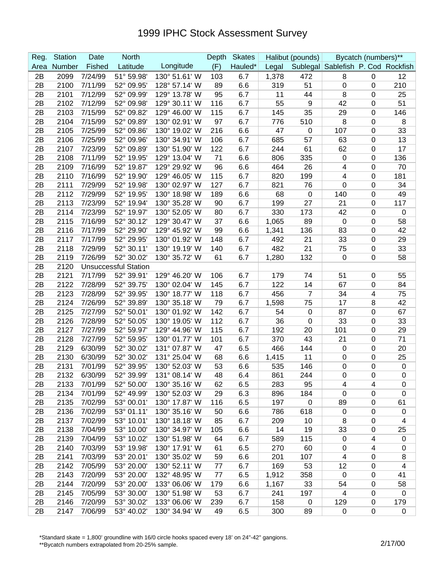| Reg.     | <b>Station</b> | Date               | <b>North</b>                |                                | Depth    | <b>Skates</b> |              | Halibut (pounds) |                                    | Bycatch (numbers)**     |                         |
|----------|----------------|--------------------|-----------------------------|--------------------------------|----------|---------------|--------------|------------------|------------------------------------|-------------------------|-------------------------|
| Area     | Number         | Fished             | Latitude                    | Longitude                      | (F)      | Hauled*       | Legal        |                  | Sublegal Sablefish P. Cod Rockfish |                         |                         |
| 2B       | 2099           | 7/24/99            | 51° 59.98'                  | 130° 51.61' W                  | 103      | 6.7           | 1,378        | 472              | 8                                  | 0                       | 12                      |
| 2B       | 2100           | 7/11/99            | 52° 09.95'                  | 128° 57.14' W                  | 89       | 6.6           | 319          | 51               | 0                                  | 0                       | 210                     |
| 2B       | 2101           | 7/12/99            | 52° 09.99'                  | 129° 13.78' W                  | 95       | 6.7           | 11           | 44               | 8                                  | 0                       | 25                      |
| 2B       | 2102           | 7/12/99            | 52° 09.98'                  | 129° 30.11' W                  | 116      | 6.7           | 55           | 9                | 42                                 | 0                       | 51                      |
| 2B       | 2103           | 7/15/99            | 52° 09.82'                  | 129° 46.00' W                  | 115      | 6.7           | 145          | 35               | 29                                 | 0                       | 146                     |
| 2B       | 2104           | 7/15/99            | 52° 09.89'                  | 130° 02.91' W                  | 97       | 6.7           | 776          | 510              | 8                                  | 0                       | 8                       |
| 2B       | 2105           | 7/25/99            | 52° 09.86'                  | 130° 19.02' W                  | 216      | 6.6           | 47           | 0                | 107                                | 0                       | 33                      |
| 2B       | 2106           | 7/25/99            | 52° 09.96'                  | 130° 34.91' W                  | 106      | 6.7           | 685          | 57               | 63                                 | 0                       | 13                      |
| 2B       | 2107           | 7/23/99            | 52° 09.89'                  | 130° 51.90' W                  | 122      | 6.7           | 244          | 61               | 62                                 | 0                       | 17                      |
| 2B       | 2108           | 7/11/99            | 52° 19.95'                  | 129° 13.04' W                  | 71       | 6.6           | 806          | 335              | $\mathbf 0$                        | 0                       | 136                     |
| 2B       | 2109           | 7/16/99            | 52° 19.87'                  | 129° 29.92' W                  | 96       | 6.6           | 464          | 26               | 4                                  | 0                       | 70                      |
| 2B       | 2110           | 7/16/99            | 52° 19.90'                  | 129° 46.05' W                  | 115      | 6.7           | 820          | 199              | 4                                  | 0                       | 181                     |
| 2B       | 2111           | 7/29/99            | 52° 19.98'                  | 130° 02.97' W                  | 127      | 6.7           | 821          | 76               | $\mathbf 0$                        | 0                       | 34                      |
| 2B       | 2112           | 7/29/99            | 52° 19.95'                  | 130° 18.98' W                  | 189      | 6.6           | 68           | 0                | 140                                | 0                       | 49                      |
| 2B       | 2113           | 7/23/99            | 52° 19.94'                  | 130° 35.28' W                  | 90       | 6.7           | 199          | 27               | 21                                 | $\pmb{0}$               | 117                     |
| 2B       | 2114           | 7/23/99            | 52° 19.97'                  | 130° 52.05' W                  | 80       | 6.7           | 330          | 173              | 42                                 | 0                       | $\boldsymbol{0}$        |
| 2B       | 2115           | 7/16/99            | 52° 30.12'                  | 129° 30.47' W                  | 37       | 6.6           | 1,065        | 89               | $\mathbf 0$                        | 0                       | 58                      |
| 2B       | 2116           | 7/17/99            | 52° 29.90'                  | 129° 45.92' W                  | 99       | 6.6           | 1,341        | 136              | 83                                 | 0                       | 42                      |
| 2B       | 2117           | 7/17/99            | 52° 29.95'                  | 130° 01.92' W                  | 148      | 6.7           | 492          | 21               | 33                                 | 0                       | 29                      |
| 2B       | 2118           | 7/29/99            | 52° 30.11'                  | 130° 19.19' W                  | 140      | 6.7           | 482          | 21               | 75                                 | 0                       | 33                      |
| 2B       | 2119           | 7/26/99            | 52° 30.02'                  | 130° 35.72' W                  | 61       | 6.7           | 1,280        | 132              | $\mathbf 0$                        | 0                       | 58                      |
| 2B       | 2120           |                    | <b>Unsuccessful Station</b> |                                |          |               |              |                  |                                    |                         |                         |
| 2B       | 2121           | 7/17/99            | 52° 39.91'                  | 129° 46.20' W                  | 106      | 6.7           | 179          | 74               | 51                                 | 0                       | 55                      |
| 2B       | 2122           | 7/28/99            | 52° 39.75'                  | 130° 02.04' W                  | 145      | 6.7           | 122          | 14               | 67                                 | 0                       | 84                      |
| 2B       | 2123           | 7/28/99            | 52° 39.95'                  | 130° 18.77' W                  | 118      | 6.7           | 456          | 7                | 34                                 | 4                       | 75                      |
| 2B       | 2124           | 7/26/99            | 52° 39.89'                  | 130° 35.18' W                  | 79       | 6.7           | 1,598        | 75               | 17                                 | 8                       | 42                      |
| 2B       | 2125           | 7/27/99            | 52° 50.01'                  | 130° 01.92' W                  | 142      | 6.7           | 54           | 0                | 87                                 | 0                       | 67                      |
| 2B       | 2126           | 7/28/99            | 52° 50.05'                  | 130° 19.05' W                  | 112      | 6.7           | 36           | 0                | 33                                 | 0                       | 33                      |
| 2B       | 2127           | 7/27/99            | 52° 59.97'                  | 129° 44.96' W                  | 115      | 6.7           | 192          | 20               | 101                                | 0                       | 29                      |
| 2B       | 2128           | 7/27/99            | 52° 59.95'                  | 130° 01.77' W<br>131° 07.87' W | 101      | 6.7           | 370          | 43<br>144        | 21                                 | 0                       | 71                      |
| 2B<br>2B | 2129<br>2130   | 6/30/99<br>6/30/99 | 52° 30.02'                  | 131° 25.04' W                  | 47<br>68 | 6.5           | 466          | 11               | $\mathbf 0$                        | 0                       | 20                      |
| 2B       | 2131           | 7/01/99            | 52° 30.02'<br>52° 39.95'    | 130° 52.03' W                  | 53       | 6.6<br>6.6    | 1,415<br>535 | 146              | $\mathbf 0$<br>$\mathbf 0$         | 0<br>0                  | 25<br>$\pmb{0}$         |
| 2B       | 2132           | 6/30/99            | 52° 39.99'                  | 131° 08.14' W                  | 48       | 6.4           | 861          | 244              | $\pmb{0}$                          | $\mathbf 0$             | $\Omega$                |
| 2B       | 2133           | 7/01/99            | 52° 50.00'                  | 130° 35.16' W                  | 62       | 6.5           | 283          | 95               | 4                                  | 4                       | $\mathbf 0$             |
| 2B       | 2134           | 7/01/99            | 52° 49.99'                  | 130° 52.03' W                  | 29       | 6.3           | 896          | 184              | $\pmb{0}$                          | 0                       | $\mathbf 0$             |
| 2B       | 2135           | 7/02/99            | 53° 00.01'                  | 130° 17.87' W                  | 116      | 6.5           | 197          | $\pmb{0}$        | 89                                 | 0                       | 61                      |
| 2B       | 2136           | 7/02/99            | 53° 01.11'                  | 130° 35.16' W                  | 50       | 6.6           | 786          | 618              | 0                                  | 0                       | $\pmb{0}$               |
| 2B       | 2137           | 7/02/99            | 53° 10.01'                  | 130° 18.18' W                  | 85       | 6.7           | 209          | 10               | 8                                  | 0                       | $\overline{\mathbf{4}}$ |
| 2B       | 2138           | 7/04/99            | 53° 10.00'                  | 130° 34.97' W                  | 105      | 6.6           | 14           | 19               | 33                                 | 0                       | 25                      |
| 2B       | 2139           | 7/04/99            | 53° 10.02'                  | 130° 51.98' W                  | 64       | 6.7           | 589          | 115              | $\mathbf 0$                        | 4                       | $\pmb{0}$               |
| 2B       | 2140           | 7/03/99            | 53° 19.98'                  | 130° 17.91' W                  | 61       | 6.5           | 270          | 60               | $\pmb{0}$                          | $\overline{\mathbf{4}}$ | 0                       |
| 2B       | 2141           | 7/03/99            | 53° 20.01'                  | 130° 35.02' W                  | 59       | 6.6           | 201          | 107              | $\overline{4}$                     | $\pmb{0}$               | 8                       |
| 2B       | 2142           | 7/05/99            | 53° 20.00'                  | 130° 52.11' W                  | 77       | 6.7           | 169          | 53               | 12                                 | $\pmb{0}$               | 4                       |
| 2B       | 2143           | 7/20/99            | 53° 20.00'                  | 132° 48.95' W                  | 77       | 6.5           | 1,912        | 358              | $\mathbf 0$                        | $\mathbf 0$             | 41                      |
| 2B       | 2144           | 7/20/99            | 53° 20.00'                  | 133° 06.06' W                  | 179      | 6.6           | 1,167        | 33               | 54                                 | 0                       | 58                      |
| 2B       | 2145           | 7/05/99            | 53° 30.00'                  | 130° 51.98' W                  | 53       | 6.7           | 241          | 197              | $\overline{\mathbf{4}}$            | 0                       | $\mathbf 0$             |
| 2B       | 2146           | 7/20/99            | 53° 30.02'                  | 133° 06.06' W                  | 239      | 6.7           | 158          | $\mathbf 0$      | 129                                | 0                       | 179                     |
| 2B       | 2147           | 7/06/99            | 53° 40.02'                  | 130° 34.94' W                  | 49       | 6.5           | 300          | 89               | 0                                  | $\pmb{0}$               | 0                       |

\*Standard skate = 1,800' groundline with 16/0 circle hooks spaced every 18' on 24"-42" gangions.

\*\*Bycatch numbers extrapolated from 20-25% sample.<br>\*\*Bycatch numbers extrapolated from 20-25% sample.